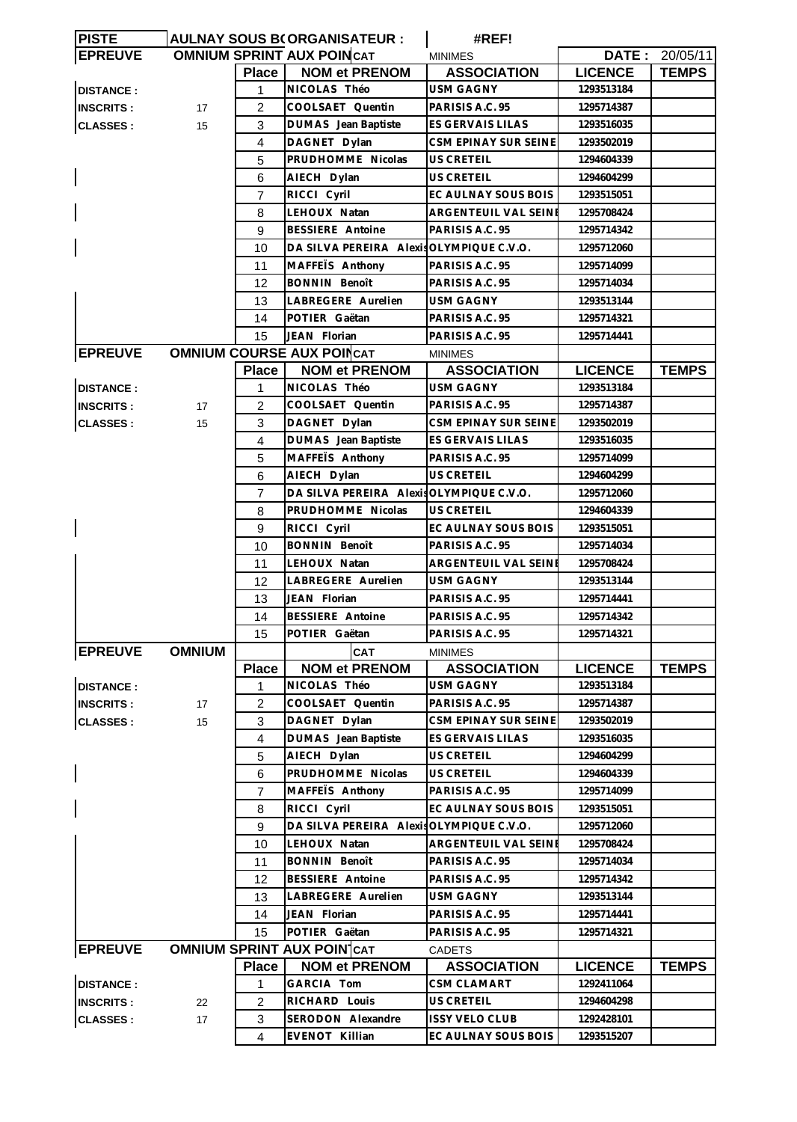| <b>PISTE</b>     |               |                  | AULNAY SOUS B(ORGANISATEUR :             | #REF!                 |                |                |
|------------------|---------------|------------------|------------------------------------------|-----------------------|----------------|----------------|
| <b>EPREUVE</b>   |               |                  | <b>OMNIUM SPRINT AUX POINCAT</b>         | <b>MINIMES</b>        |                | DATE: 20/05/11 |
|                  |               | <b>Place</b>     | <b>NOM et PRENOM</b>                     | <b>ASSOCIATION</b>    | <b>LICENCE</b> | <b>TEMPS</b>   |
| <b>DISTANCE:</b> |               | 1                | NICOLAS Théo                             | <b>USM GAGNY</b>      | 1293513184     |                |
| <b>INSCRITS:</b> | 17            | 2                | COOLSAET Quentin                         | PARISIS A.C. 95       | 1295714387     |                |
| <b>CLASSES:</b>  | 15            | 3                | DUMAS Jean Baptiste                      | ES GERVAIS LILAS      | 1293516035     |                |
|                  |               | 4                | DAGNET Dylan                             | CSM EPINAY SUR SEINE  | 1293502019     |                |
|                  |               | 5                | PRUDHOMME Nicolas                        | US CRETEIL            | 1294604339     |                |
|                  |               | 6                | AIECH Dylan                              | US CRETEIL            | 1294604299     |                |
|                  |               | 7                | RICCI Cyril                              | EC AULNAY SOUS BOIS   | 1293515051     |                |
|                  |               | 8                | LEHOUX Natan                             | ARGENTEUIL VAL SEINE  | 1295708424     |                |
|                  |               | 9                | <b>BESSIERE</b> Antoine                  | PARISIS A.C. 95       | 1295714342     |                |
|                  |               | 10               | DA SILVA PEREIRA Alexis OLYMPIQUE C.V.O. |                       | 1295712060     |                |
|                  |               | 11               | MAFFEIS Anthony                          | PARISIS A.C. 95       | 1295714099     |                |
|                  |               | 12               | <b>BONNIN Benoît</b>                     | PARISIS A.C. 95       | 1295714034     |                |
|                  |               | 13               | LABREGERE Aurelien                       | USM GAGNY             | 1293513144     |                |
|                  |               | 14               | POTIER Gaëtan                            | PARISIS A.C. 95       | 1295714321     |                |
|                  |               | 15               | JEAN Florian                             | PARISIS A.C. 95       | 1295714441     |                |
| <b>EPREUVE</b>   |               |                  | <b>OMNIUM COURSE AUX POINCAT</b>         |                       |                |                |
|                  |               |                  |                                          | <b>MINIMES</b>        |                |                |
|                  |               | Place            | <b>NOM et PRENOM</b>                     | <b>ASSOCIATION</b>    | <b>LICENCE</b> | <b>TEMPS</b>   |
| <b>DISTANCE:</b> |               | 1                | NICOLAS Théo                             | USM GAGNY             | 1293513184     |                |
| <b>INSCRITS:</b> | 17            | 2                | COOLSAET Quentin                         | PARISIS A.C. 95       | 1295714387     |                |
| <b>CLASSES:</b>  | 15            | 3                | DAGNET Dylan                             | CSM EPINAY SUR SEINE  | 1293502019     |                |
|                  |               | 4                | DUMAS Jean Baptiste                      | ES GERVAIS LILAS      | 1293516035     |                |
|                  |               | 5                | MAFFETS Anthony                          | PARISIS A.C. 95       | 1295714099     |                |
|                  |               | 6                | AIECH Dylan                              | US CRETEIL            | 1294604299     |                |
|                  |               | $\overline{7}$   | DA SILVA PEREIRA Alexis                  | OLYMPIQUE C.V.O.      | 1295712060     |                |
|                  |               | 8                | PRUDHOMME Nicolas                        | US CRETEIL            | 1294604339     |                |
| $\mathsf{l}$     |               | 9                | RICCI Cyril                              | EC AULNAY SOUS BOIS   | 1293515051     |                |
|                  |               | 10               | <b>BONNIN Benoît</b>                     | PARISIS A.C. 95       | 1295714034     |                |
|                  |               | 11               | LEHOUX Natan                             | ARGENTEUIL VAL SEINE  | 1295708424     |                |
|                  |               | 12               | LABREGERE Aurelien                       | USM GAGNY             | 1293513144     |                |
|                  |               | 13               | JEAN Florian                             | PARISIS A.C. 95       | 1295714441     |                |
|                  |               | 14               | <b>BESSIERE</b> Antoine                  | PARISIS A.C. 95       | 1295714342     |                |
|                  |               | 15 <sup>15</sup> | POTIER Gaëtan                            | PARISIS A.C. 95       | 1295714321     |                |
| <b>EPREUVE</b>   | <b>OMNIUM</b> |                  | CAT                                      | MINIMES               |                |                |
|                  |               | <b>Place</b>     | <b>NOM et PRENOM</b>                     | <b>ASSOCIATION</b>    | <b>LICENCE</b> | <b>TEMPS</b>   |
| <b>DISTANCE:</b> |               | 1                | NICOLAS Théo                             | <b>USM GAGNY</b>      | 1293513184     |                |
| <b>INSCRITS:</b> | 17            | 2                | COOLSAET Quentin                         | PARISIS A.C. 95       | 1295714387     |                |
| <b>CLASSES:</b>  | 15            | 3                | DAGNET Dylan                             | CSM EPINAY SUR SEINE  | 1293502019     |                |
|                  |               | 4                | DUMAS Jean Baptiste                      | ES GERVAIS LILAS      | 1293516035     |                |
|                  |               | 5                | AIECH Dylan                              | US CRETEIL            | 1294604299     |                |
|                  |               | 6                | PRUDHOMME Nicolas                        | US CRETEIL            | 1294604339     |                |
|                  |               | $\overline{7}$   | MAFFEIS Anthony                          | PARISIS A.C. 95       | 1295714099     |                |
|                  |               | 8                | RICCI Cyril                              | EC AULNAY SOUS BOIS   | 1293515051     |                |
|                  |               | 9                | DA SILVA PEREIRA Alexis OLYMPIQUE C.V.O. |                       | 1295712060     |                |
|                  |               | 10               | LEHOUX Natan                             | ARGENTEUIL VAL SEINE  | 1295708424     |                |
|                  |               |                  | <b>BONNIN Benoît</b>                     | PARISIS A.C. 95       | 1295714034     |                |
|                  |               | 11               |                                          |                       |                |                |
|                  |               | 12               | <b>BESSIERE</b> Antoine                  | PARISIS A.C. 95       | 1295714342     |                |
|                  |               | 13               | LABREGERE Aurelien                       | USM GAGNY             | 1293513144     |                |
|                  |               | 14               | JEAN Florian                             | PARISIS A.C. 95       | 1295714441     |                |
|                  |               | 15               | POTIER Gaëtan                            | PARISIS A.C. 95       | 1295714321     |                |
| <b>EPREUVE</b>   |               |                  | <b>OMNIUM SPRINT AUX POIN CAT</b>        | CADETS                |                |                |
|                  |               | <b>Place</b>     | <b>NOM et PRENOM</b>                     | <b>ASSOCIATION</b>    | <b>LICENCE</b> | <b>TEMPS</b>   |
| <b>DISTANCE:</b> |               | 1                | GARCIA Tom                               | <b>CSM CLAMART</b>    | 1292411064     |                |
| <b>INSCRITS:</b> | 22            | 2                | RICHARD Louis                            | US CRETEIL            | 1294604298     |                |
| <b>CLASSES:</b>  | 17            | 3                | SERODON Alexandre                        | <b>ISSY VELO CLUB</b> | 1292428101     |                |
|                  |               | $\overline{4}$   | <b>EVENOT Killian</b>                    | EC AULNAY SOUS BOIS   | 1293515207     |                |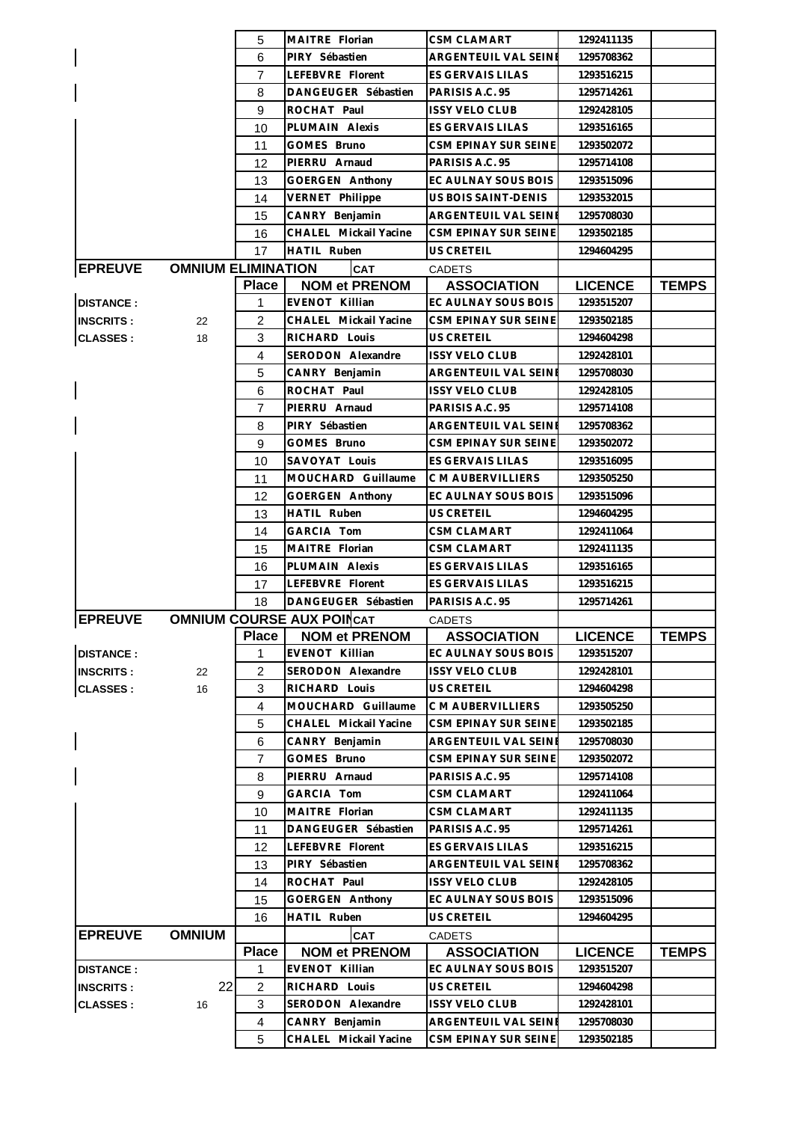|                  |                           | 5                   | MAITRE Florian                          | <b>CSM CLAMART</b>                           | 1292411135               |              |
|------------------|---------------------------|---------------------|-----------------------------------------|----------------------------------------------|--------------------------|--------------|
|                  |                           | 6                   | PIRY Sébastien                          | ARGENTEUIL VAL SEINE                         | 1295708362               |              |
|                  |                           | 7                   | LEFEBVRE Florent                        | ES GERVAIS LILAS                             | 1293516215               |              |
|                  |                           | 8                   | DANGEUGER Sébastien                     | PARISIS A.C. 95                              | 1295714261               |              |
|                  |                           | 9                   | ROCHAT Paul                             | <b>ISSY VELO CLUB</b>                        | 1292428105               |              |
|                  |                           | 10                  | PLUMAIN Alexis                          | ES GERVAIS LILAS                             | 1293516165               |              |
|                  |                           | 11                  | GOMES Bruno                             | CSM EPINAY SUR SEINE                         | 1293502072               |              |
|                  |                           | 12                  | PIERRU Arnaud                           | PARISIS A.C. 95                              | 1295714108               |              |
|                  |                           | 13                  | GOERGEN Anthony                         | EC AULNAY SOUS BOIS                          | 1293515096               |              |
|                  |                           | 14                  | VERNET Philippe                         | US BOIS SAINT-DENIS                          | 1293532015               |              |
|                  |                           | 15                  | CANRY Benjamin                          | ARGENTEUIL VAL SEINE                         | 1295708030               |              |
|                  |                           | 16                  | CHALEL Mickail Yacine                   | CSM EPINAY SUR SEINE                         | 1293502185               |              |
|                  |                           | 17                  | HATIL Ruben                             | US CRETEIL                                   | 1294604295               |              |
| <b>EPREUVE</b>   | <b>OMNIUM ELIMINATION</b> |                     | <b>CAT</b>                              | <b>CADETS</b>                                |                          |              |
|                  |                           | <b>Place</b>        | <b>NOM et PRENOM</b>                    | <b>ASSOCIATION</b>                           | <b>LICENCE</b>           | <b>TEMPS</b> |
| <b>DISTANCE:</b> |                           | $\mathbf 1$         | EVENOT Killian                          | EC AULNAY SOUS BOIS                          | 1293515207               |              |
| <b>INSCRITS:</b> | 22                        | $\overline{2}$      | CHALEL Mickail Yacine                   | CSM EPINAY SUR SEINE                         | 1293502185               |              |
| <b>CLASSES:</b>  | 18                        | 3                   | RICHARD Louis                           | US CRETEIL                                   | 1294604298               |              |
|                  |                           | $\overline{4}$      | SERODON Alexandre                       | <b>ISSY VELO CLUB</b>                        | 1292428101               |              |
|                  |                           | 5                   | CANRY Benjamin                          | ARGENTEUIL VAL SEINE                         | 1295708030               |              |
|                  |                           | 6                   | ROCHAT Paul                             | <b>ISSY VELO CLUB</b>                        | 1292428105               |              |
|                  |                           | $\overline{7}$      | PIERRU Arnaud                           | PARISIS A.C. 95                              | 1295714108               |              |
|                  |                           | 8                   | PIRY Sébastien                          | ARGENTEUIL VAL SEINE                         | 1295708362               |              |
|                  |                           | 9                   | GOMES Bruno                             | CSM EPINAY SUR SEINE                         | 1293502072               |              |
|                  |                           | 10                  | SAVOYAT Louis                           | ES GERVAIS LILAS                             | 1293516095               |              |
|                  |                           | 11                  | MOUCHARD Guillaume                      | C M AUBERVILLIERS                            | 1293505250               |              |
|                  |                           | 12                  | GOERGEN Anthony                         | EC AULNAY SOUS BOIS                          | 1293515096               |              |
|                  |                           | 13                  | HATIL Ruben                             | US CRETEIL                                   | 1294604295               |              |
|                  |                           | 14                  | GARCIA Tom                              | CSM CLAMART                                  | 1292411064               |              |
|                  |                           | 15                  | MAITRE Florian                          | <b>CSM CLAMART</b>                           | 1292411135               |              |
|                  |                           |                     |                                         |                                              |                          |              |
|                  |                           |                     |                                         |                                              |                          |              |
|                  |                           | 16                  | PLUMAIN Alexis                          | ES GERVAIS LILAS                             | 1293516165               |              |
|                  |                           | 17                  | LEFEBVRE Florent                        | <b>ES GERVAIS LILAS</b>                      | 1293516215               |              |
|                  |                           | 18                  | DANGEUGER Sébastien                     | PARISIS A.C. 95                              | 1295714261               |              |
| <b>EPREUVE</b>   |                           |                     | <b>OMNIUM COURSE AUX POINCAT</b>        | <b>CADETS</b>                                |                          |              |
|                  |                           | <b>Place</b>        | <b>NOM et PRENOM</b>                    | <b>ASSOCIATION</b>                           | <b>LICENCE</b>           | <b>TEMPS</b> |
| <b>DISTANCE:</b> |                           | 1                   | <b>EVENOT Killian</b>                   | EC AULNAY SOUS BOIS                          | 1293515207               |              |
| <b>INSCRITS:</b> | 22                        | $\overline{2}$      | SERODON Alexandre                       | <b>ISSY VELO CLUB</b>                        | 1292428101               |              |
| <b>CLASSES:</b>  | 16                        | 3                   | RICHARD Louis                           | US CRETEIL                                   | 1294604298               |              |
|                  |                           | 4                   | MOUCHARD Guillaume                      | C M AUBERVILLIERS                            | 1293505250               |              |
|                  |                           | 5                   | CHALEL Mickail Yacine                   | CSM EPINAY SUR SEINE                         | 1293502185               |              |
|                  |                           | 6                   | CANRY Benjamin                          | ARGENTEUIL VAL SEINE                         | 1295708030               |              |
|                  |                           | $\overline{7}$      | GOMES Bruno                             | CSM EPINAY SUR SEINE                         | 1293502072               |              |
|                  |                           | 8                   | PIERRU Arnaud                           | PARISIS A.C. 95                              | 1295714108               |              |
|                  |                           | 9                   | GARCIA Tom                              | CSM CLAMART                                  | 1292411064               |              |
|                  |                           | 10                  | MAITRE Florian                          | <b>CSM CLAMART</b>                           | 1292411135               |              |
|                  |                           | 11                  | DANGEUGER Sébastien                     | PARISIS A.C. 95                              | 1295714261               |              |
|                  |                           | 12                  | LEFEBVRE Florent                        | ES GERVAIS LILAS                             | 1293516215               |              |
|                  |                           | 13                  | PIRY Sébastien                          | ARGENTEUIL VAL SEINE                         | 1295708362               |              |
|                  |                           | 14                  | ROCHAT Paul                             | <b>ISSY VELO CLUB</b>                        | 1292428105               |              |
|                  |                           | 15                  | GOERGEN Anthony                         | EC AULNAY SOUS BOIS                          | 1293515096               |              |
|                  |                           | 16                  | HATIL Ruben                             | US CRETEIL                                   | 1294604295               |              |
| <b>EPREUVE</b>   | <b>OMNIUM</b>             |                     | <b>CAT</b>                              | <b>CADETS</b>                                |                          |              |
|                  |                           | <b>Place</b>        | <b>NOM et PRENOM</b>                    | <b>ASSOCIATION</b>                           | <b>LICENCE</b>           | <b>TEMPS</b> |
| <b>DISTANCE:</b> |                           | 1                   | <b>EVENOT Killian</b>                   | EC AULNAY SOUS BOIS                          | 1293515207               |              |
| <b>INSCRITS:</b> | 22                        | $\overline{2}$      | RICHARD Louis                           | US CRETEIL                                   | 1294604298               |              |
| <b>CLASSES:</b>  | 16                        | 3                   | SERODON Alexandre                       | <b>ISSY VELO CLUB</b>                        | 1292428101               |              |
|                  |                           | $\overline{4}$<br>5 | CANRY Benjamin<br>CHALEL Mickail Yacine | ARGENTEUIL VAL SEINE<br>CSM EPINAY SUR SEINE | 1295708030<br>1293502185 |              |